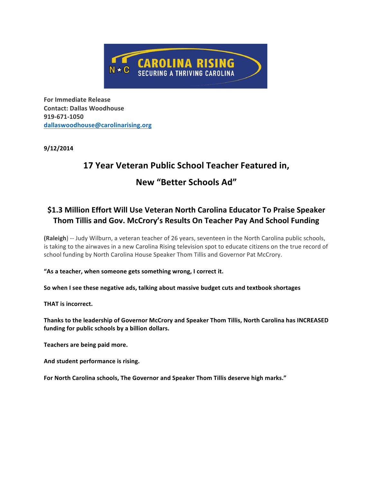

**For Immediate Release Contact: Dallas Woodhouse 919-671-1050 dallaswoodhouse@carolinarising.org**

**9/12/2014**

# **17 Year Veteran Public School Teacher Featured in,**

## **New "Better Schools Ad"**

### **\$1.3 Million Effort Will Use Veteran North Carolina Educator To Praise Speaker Thom Tillis and Gov. McCrory's Results On Teacher Pay And School Funding**

**(Raleigh)** -- Judy Wilburn, a veteran teacher of 26 years, seventeen in the North Carolina public schools, is taking to the airwaves in a new Carolina Rising television spot to educate citizens on the true record of school funding by North Carolina House Speaker Thom Tillis and Governor Pat McCrory.

**"As a teacher, when someone gets something wrong, I correct it.**

**So when I see these negative ads, talking about massive budget cuts and textbook shortages**

**THAT is incorrect.**

**Thanks to the leadership of Governor McCrory and Speaker Thom Tillis, North Carolina has INCREASED funding for public schools by a billion dollars.**

**Teachers are being paid more.** 

**And student performance is rising.**

**For North Carolina schools, The Governor and Speaker Thom Tillis deserve high marks."**